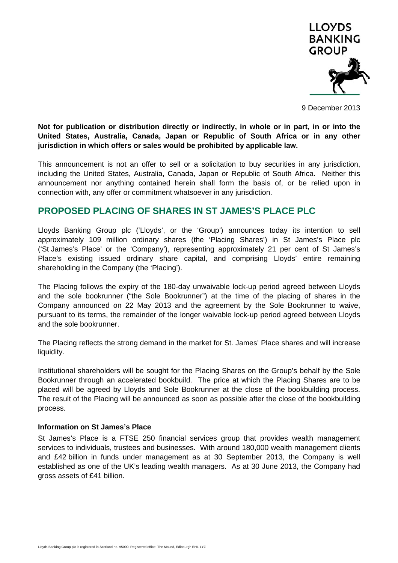

9 December 2013

**Not for publication or distribution directly or indirectly, in whole or in part, in or into the United States, Australia, Canada, Japan or Republic of South Africa or in any other jurisdiction in which offers or sales would be prohibited by applicable law.** 

This announcement is not an offer to sell or a solicitation to buy securities in any jurisdiction, including the United States, Australia, Canada, Japan or Republic of South Africa. Neither this announcement nor anything contained herein shall form the basis of, or be relied upon in connection with, any offer or commitment whatsoever in any jurisdiction.

# **PROPOSED PLACING OF SHARES IN ST JAMES'S PLACE PLC**

Lloyds Banking Group plc ('Lloyds', or the 'Group') announces today its intention to sell approximately 109 million ordinary shares (the 'Placing Shares') in St James's Place plc ('St James's Place' or the 'Company'), representing approximately 21 per cent of St James's Place's existing issued ordinary share capital, and comprising Lloyds' entire remaining shareholding in the Company (the 'Placing').

The Placing follows the expiry of the 180-day unwaivable lock-up period agreed between Lloyds and the sole bookrunner ("the Sole Bookrunner") at the time of the placing of shares in the Company announced on 22 May 2013 and the agreement by the Sole Bookrunner to waive, pursuant to its terms, the remainder of the longer waivable lock-up period agreed between Lloyds and the sole bookrunner.

The Placing reflects the strong demand in the market for St. James' Place shares and will increase liquidity.

Institutional shareholders will be sought for the Placing Shares on the Group's behalf by the Sole Bookrunner through an accelerated bookbuild. The price at which the Placing Shares are to be placed will be agreed by Lloyds and Sole Bookrunner at the close of the bookbuilding process. The result of the Placing will be announced as soon as possible after the close of the bookbuilding process.

### **Information on St James's Place**

St James's Place is a FTSE 250 financial services group that provides wealth management services to individuals, trustees and businesses. With around 180,000 wealth management clients and £42 billion in funds under management as at 30 September 2013, the Company is well established as one of the UK's leading wealth managers. As at 30 June 2013, the Company had gross assets of £41 billion.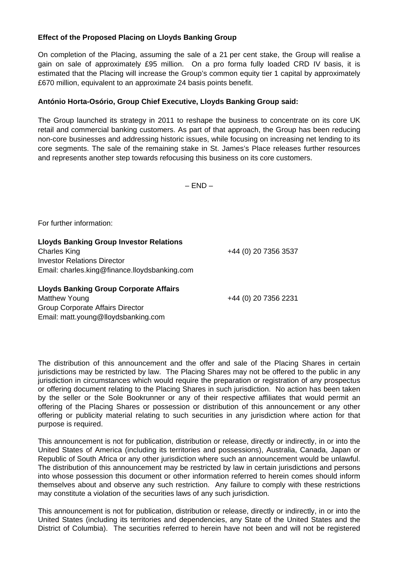## **Effect of the Proposed Placing on Lloyds Banking Group**

On completion of the Placing, assuming the sale of a 21 per cent stake, the Group will realise a gain on sale of approximately £95 million. On a pro forma fully loaded CRD IV basis, it is estimated that the Placing will increase the Group's common equity tier 1 capital by approximately £670 million, equivalent to an approximate 24 basis points benefit.

# **António Horta-Osório, Group Chief Executive, Lloyds Banking Group said:**

The Group launched its strategy in 2011 to reshape the business to concentrate on its core UK retail and commercial banking customers. As part of that approach, the Group has been reducing non-core businesses and addressing historic issues, while focusing on increasing net lending to its core segments. The sale of the remaining stake in St. James's Place releases further resources and represents another step towards refocusing this business on its core customers.

 $-$  END  $-$ 

For further information:

**Lloyds Banking Group Investor Relations**  Charles King +44 (0) 20 7356 3537 Investor Relations Director Email: charles.king@finance.lloydsbanking.com

**Lloyds Banking Group Corporate Affairs** 

Matthew Young +44 (0) 20 7356 2231 Group Corporate Affairs Director Email: matt.young@lloydsbanking.com

The distribution of this announcement and the offer and sale of the Placing Shares in certain jurisdictions may be restricted by law. The Placing Shares may not be offered to the public in any jurisdiction in circumstances which would require the preparation or registration of any prospectus or offering document relating to the Placing Shares in such jurisdiction. No action has been taken by the seller or the Sole Bookrunner or any of their respective affiliates that would permit an offering of the Placing Shares or possession or distribution of this announcement or any other offering or publicity material relating to such securities in any jurisdiction where action for that purpose is required.

This announcement is not for publication, distribution or release, directly or indirectly, in or into the United States of America (including its territories and possessions), Australia, Canada, Japan or Republic of South Africa or any other jurisdiction where such an announcement would be unlawful. The distribution of this announcement may be restricted by law in certain jurisdictions and persons into whose possession this document or other information referred to herein comes should inform themselves about and observe any such restriction. Any failure to comply with these restrictions may constitute a violation of the securities laws of any such jurisdiction.

This announcement is not for publication, distribution or release, directly or indirectly, in or into the United States (including its territories and dependencies, any State of the United States and the District of Columbia). The securities referred to herein have not been and will not be registered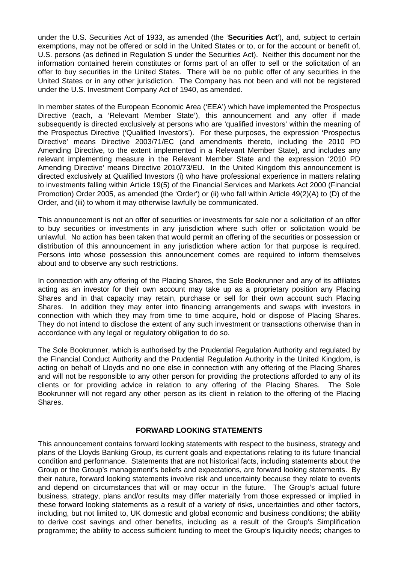under the U.S. Securities Act of 1933, as amended (the '**Securities Act**'), and, subject to certain exemptions, may not be offered or sold in the United States or to, or for the account or benefit of, U.S. persons (as defined in Regulation S under the Securities Act). Neither this document nor the information contained herein constitutes or forms part of an offer to sell or the solicitation of an offer to buy securities in the United States. There will be no public offer of any securities in the United States or in any other jurisdiction. The Company has not been and will not be registered under the U.S. Investment Company Act of 1940, as amended.

In member states of the European Economic Area ('EEA') which have implemented the Prospectus Directive (each, a 'Relevant Member State'), this announcement and any offer if made subsequently is directed exclusively at persons who are 'qualified investors' within the meaning of the Prospectus Directive ('Qualified Investors'). For these purposes, the expression 'Prospectus Directive' means Directive 2003/71/EC (and amendments thereto, including the 2010 PD Amending Directive, to the extent implemented in a Relevant Member State), and includes any relevant implementing measure in the Relevant Member State and the expression '2010 PD Amending Directive' means Directive 2010/73/EU. In the United Kingdom this announcement is directed exclusively at Qualified Investors (i) who have professional experience in matters relating to investments falling within Article 19(5) of the Financial Services and Markets Act 2000 (Financial Promotion) Order 2005, as amended (the 'Order') or (ii) who fall within Article 49(2)(A) to (D) of the Order, and (iii) to whom it may otherwise lawfully be communicated.

This announcement is not an offer of securities or investments for sale nor a solicitation of an offer to buy securities or investments in any jurisdiction where such offer or solicitation would be unlawful. No action has been taken that would permit an offering of the securities or possession or distribution of this announcement in any jurisdiction where action for that purpose is required. Persons into whose possession this announcement comes are required to inform themselves about and to observe any such restrictions.

In connection with any offering of the Placing Shares, the Sole Bookrunner and any of its affiliates acting as an investor for their own account may take up as a proprietary position any Placing Shares and in that capacity may retain, purchase or sell for their own account such Placing Shares. In addition they may enter into financing arrangements and swaps with investors in connection with which they may from time to time acquire, hold or dispose of Placing Shares. They do not intend to disclose the extent of any such investment or transactions otherwise than in accordance with any legal or regulatory obligation to do so.

The Sole Bookrunner, which is authorised by the Prudential Regulation Authority and regulated by the Financial Conduct Authority and the Prudential Regulation Authority in the United Kingdom, is acting on behalf of Lloyds and no one else in connection with any offering of the Placing Shares and will not be responsible to any other person for providing the protections afforded to any of its clients or for providing advice in relation to any offering of the Placing Shares. The Sole Bookrunner will not regard any other person as its client in relation to the offering of the Placing Shares.

### **FORWARD LOOKING STATEMENTS**

This announcement contains forward looking statements with respect to the business, strategy and plans of the Lloyds Banking Group, its current goals and expectations relating to its future financial condition and performance. Statements that are not historical facts, including statements about the Group or the Group's management's beliefs and expectations, are forward looking statements. By their nature, forward looking statements involve risk and uncertainty because they relate to events and depend on circumstances that will or may occur in the future. The Group's actual future business, strategy, plans and/or results may differ materially from those expressed or implied in these forward looking statements as a result of a variety of risks, uncertainties and other factors, including, but not limited to, UK domestic and global economic and business conditions; the ability to derive cost savings and other benefits, including as a result of the Group's Simplification programme; the ability to access sufficient funding to meet the Group's liquidity needs; changes to